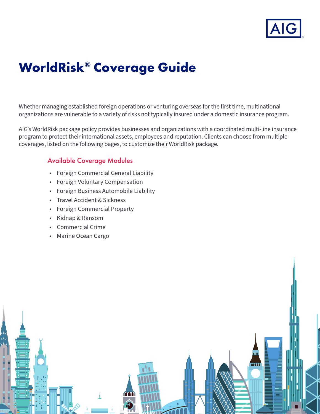

 $\overline{\mathbf{m}}$ 

# **WorldRisk® Coverage Guide**

Whether managing established foreign operations or venturing overseas for the first time, multinational organizations are vulnerable to a variety of risks not typically insured under a domestic insurance program.

AIG's WorldRisk package policy provides businesses and organizations with a coordinated multi-line insurance program to protect their international assets, employees and reputation. Clients can choose from multiple coverages, listed on the following pages, to customize their WorldRisk package.

#### Available Coverage Modules

- Foreign Commercial General Liability
- Foreign Voluntary Compensation
- Foreign Business Automobile Liability
- Travel Accident & Sickness
- Foreign Commercial Property
- Kidnap & Ransom
- Commercial Crime
- Marine Ocean Cargo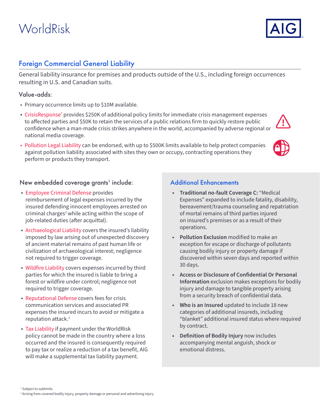# Foreign Commercial General Liability

General liability insurance for premises and products outside of the U.S., including foreign occurrences resulting in U.S. and Canadian suits.

### Value-adds:

- Primary occurrence limits up to \$10M available.
- CrisisResponse® provides \$250K of additional policy limits for immediate crisis management expenses to affected parties and \$50K to retain the services of a public relations firm to quickly restore public confidence when a man-made crisis strikes anywhere in the world, accompanied by adverse regional or national media coverage.
- Pollution Legal Liability can be endorsed, with up to \$500K limits available to help protect companies against pollution liability associated with sites they own or occupy, contracting operations they perform or products they transport.

### New embedded coverage grants<sup>1</sup> include:

- Employee Criminal Defense provides reimbursement of legal expenses incurred by the insured defending innocent employees arrested on criminal charges<sup>2</sup> while acting within the scope of job-related duties (after acquittal).
- Archaeological Liability covers the insured's liability imposed by law arising out of unexpected discovery of ancient material remains of past human life or civilization of archaeological interest; negligence not required to trigger coverage.
- Wildfire Liability covers expenses incurred by third parties for which the insured is liable to bring a forest or wildfire under control; negligence not required to trigger coverage.
- Reputational Defense covers fees for crisis communication services and associated PR expenses the insured incurs to avoid or mitigate a reputation attack.2
- Tax Liability if payment under the WorldRisk policy cannot be made in the country where a loss occurred and the insured is consequently required to pay tax or realize a reduction of a tax benefit, AIG will make a supplemental tax liability payment.

#### Additional Enhancements

- **• Traditional no-fault Coverage C:** "Medical Expenses" expanded to include fatality, disability, bereavement/trauma counseling and repatriation of mortal remains of third parties injured on insured's premises or as a result of their operations.
- **• Pollution Exclusion** modified to make an exception for escape or discharge of pollutants causing bodily injury or property damage if discovered within seven days and reported within 30 days.
- **• Access or Disclosure of Confidential Or Personal Information** exclusion makes exceptions for bodily injury and damage to tangible property arising from a security breach of confidential data.
- **• Who is an Insured** updated to include 18 new categories of additional insureds, including "blanket" additional insured status where required by contract.
- **• Definition of Bodily Injury** now includes accompanying mental anguish, shock or emotional distress.





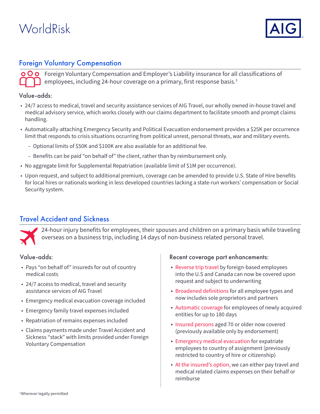



#### Foreign Voluntary Compensation

**O O** Foreign Voluntary Compensation and Employer's Liability insurance for all classifications of employees, including 24-hour coverage on a primary, first response basis.<sup>3</sup>

#### Value-adds:

- 24/7 access to medical, travel and security assistance services of AIG Travel, our wholly owned in-house travel and medical advisory service, which works closely with our claims department to facilitate smooth and prompt claims handling.
- Automatically-attaching Emergency Security and Political Evacuation endorsement provides a \$25K per occurrence limit that responds to crisis situations occurring from political unrest, personal threats, war and military events.
	- Optional limits of \$50K and \$100K are also available for an additional fee.
	- Benefits can be paid "on behalf of" the client, rather than by reimbursement only.
- No aggregate limit for Supplemental Repatriation (available limit of \$1M per occurrence).
- Upon request, and subject to additional premium, coverage can be amended to provide U.S. State of Hire benefits for local hires or nationals working in less developed countries lacking a state-run workers' compensation or Social Security system.

### Travel Accident and Sickness

24-hour injury benefits for employees, their spouses and children on a primary basis while traveling overseas on a business trip, including 14 days of non-business related personal travel.

#### Value-adds:

- Pays "on behalf of" insureds for out of country medical costs
- 24/7 access to medical, travel and security assistance services of AIG Travel
- Emergency medical evacuation coverage included
- Emergency family travel expenses included
- Repatriation of remains expenses included
- Claims payments made under Travel Accident and Sickness "stack" with limits provided under Foreign Voluntary Compensation

#### Recent coverage part enhancements:

- Reverse trip travel by foreign-based employees into the U.S and Canada can now be covered upon request and subject to underwriting
- Broadened definitions for all employee types and now includes sole proprietors and partners
- Automatic coverage for employees of newly acquired entities for up to 180 days
- Insured persons aged 70 or older now covered (previously available only by endorsement)
- Emergency medical evacuation for expatriate employees to country of assignment (previously restricted to country of hire or citizenship)
- At the insured's option, we can either pay travel and medical related claims expenses on their behalf or reimburse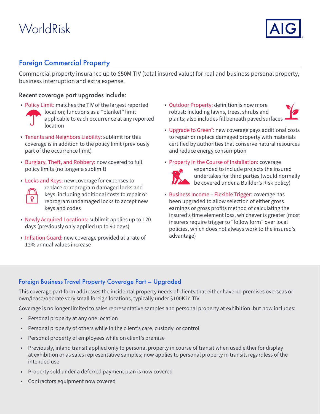

# Foreign Commercial Property

Commercial property insurance up to \$50M TIV (total insured value) for real and business personal property, business interruption and extra expense.

#### Recent coverage part upgrades include:

- Policy Limit: matches the TIV of the largest reported location; functions as a "blanket" limit applicable to each occurrence at any reported location
- Tenants and Neighbors Liability: sublimit for this coverage is in addition to the policy limit (previously part of the occurrence limit)
- Burglary, Theft, and Robbery: now covered to full policy limits (no longer a sublimit)
- Locks and Keys: new coverage for expenses to



replace or reprogram damaged locks and keys, including additional costs to repair or reprogram undamaged locks to accept new keys and codes

- Newly Acquired Locations: sublimit applies up to 120 days (previously only applied up to 90 days)
- Inflation Guard: new coverage provided at a rate of 12% annual values increase
- Outdoor Property: definition is now more robust: including lawns, trees, shrubs and plants; also includes fill beneath paved surfaces
- Upgrade to Green<sup>®</sup>: new coverage pays additional costs to repair or replace damaged property with materials certified by authorities that conserve natural resources and reduce energy consumption
- Property in the Course of Installation: coverage expanded to include projects the insured undertakes for third parties (would normally be covered under a Builder's Risk policy)
- Business Income Flexible Trigger: coverage has been upgraded to allow selection of either gross earnings or gross profits method of calculating the insured's time element loss, whichever is greater (most insurers require trigger to "follow form" over local policies, which does not always work to the insured's advantage)

### Foreign Business Travel Property Coverage Part – Upgraded

This coverage part form addresses the incidental property needs of clients that either have no premises overseas or own/lease/operate very small foreign locations, typically under \$100K in TIV.

Coverage is no longer limited to sales representative samples and personal property at exhibition, but now includes:

- Personal property at any one location
- Personal property of others while in the client's care, custody, or control
- Personal property of employees while on client's premise
- Previously, inland transit applied only to personal property in course of transit when used either for display at exhibition or as sales representative samples; now applies to personal property in transit, regardless of the intended use
- Property sold under a deferred payment plan is now covered
- Contractors equipment now covered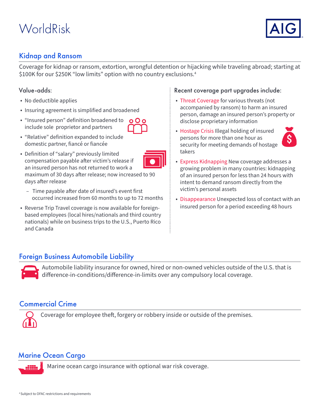

## Kidnap and Ransom

Coverage for kidnap or ransom, extortion, wrongful detention or hijacking while traveling abroad; starting at \$100K for our \$250K "low limits" option with no country exclusions.<sup>4</sup>

#### Value-adds:

- No deductible applies
- Insuring agreement is simplified and broadened
- "Insured person" definition broadened to ooo include sole proprietor and partners



- "Relative" definition expanded to include domestic partner, fiancé or fiancée
- Definition of "salary" previously limited compensation payable after victim's release if an insured person has not returned to work a maximum of 30 days after release; now increased to 90 days after release
	- Time payable after date of insured's event first occurred increased from 60 months to up to 72 months
- Reverse Trip Travel coverage is now available for foreignbased employees (local hires/nationals and third country nationals) while on business trips to the U.S., Puerto Rico and Canada

#### Recent coverage part upgrades include:

- Threat Coverage for various threats (not accompanied by ransom) to harm an insured person, damage an insured person's property or disclose proprietary information
- Hostage Crisis Illegal holding of insured persons for more than one hour as security for meeting demands of hostage takers



- Express Kidnapping New coverage addresses a growing problem in many countries: kidnapping of an insured person for less than 24 hours with intent to demand ransom directly from the victim's personal assets
- Disappearance Unexpected loss of contact with an insured person for a period exceeding 48 hours

### Foreign Business Automobile Liability

Automobile liability insurance for owned, hired or non-owned vehicles outside of the U.S. that is difference-in-conditions/difference-in-limits over any compulsory local coverage.

#### Commercial Crime

Coverage for employee theft, forgery or robbery inside or outside of the premises.

### Marine Ocean Cargo

Marine ocean cargo insurance with optional war risk coverage.